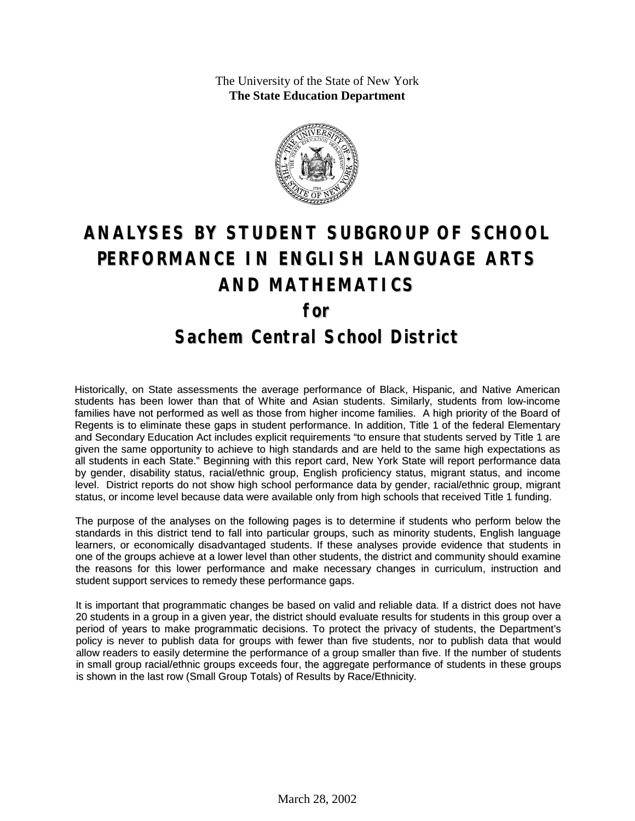The University of the State of New York **The State Education Department**



# **ANALYSES BY STUDENT SUBGROUP OF SCHOOL PERFORMANCE IN ENGLISH LANGUAGE ARTS AND MATHEMATICS for Sachem Central School District**

Historically, on State assessments the average performance of Black, Hispanic, and Native American students has been lower than that of White and Asian students. Similarly, students from low-income families have not performed as well as those from higher income families. A high priority of the Board of Regents is to eliminate these gaps in student performance. In addition, Title 1 of the federal Elementary and Secondary Education Act includes explicit requirements "to ensure that students served by Title 1 are given the same opportunity to achieve to high standards and are held to the same high expectations as all students in each State." Beginning with this report card, New York State will report performance data by gender, disability status, racial/ethnic group, English proficiency status, migrant status, and income level. District reports do not show high school performance data by gender, racial/ethnic group, migrant status, or income level because data were available only from high schools that received Title 1 funding.

The purpose of the analyses on the following pages is to determine if students who perform below the standards in this district tend to fall into particular groups, such as minority students, English language learners, or economically disadvantaged students. If these analyses provide evidence that students in one of the groups achieve at a lower level than other students, the district and community should examine the reasons for this lower performance and make necessary changes in curriculum, instruction and student support services to remedy these performance gaps.

It is important that programmatic changes be based on valid and reliable data. If a district does not have 20 students in a group in a given year, the district should evaluate results for students in this group over a period of years to make programmatic decisions. To protect the privacy of students, the Department's policy is never to publish data for groups with fewer than five students, nor to publish data that would allow readers to easily determine the performance of a group smaller than five. If the number of students in small group racial/ethnic groups exceeds four, the aggregate performance of students in these groups is shown in the last row (Small Group Totals) of Results by Race/Ethnicity.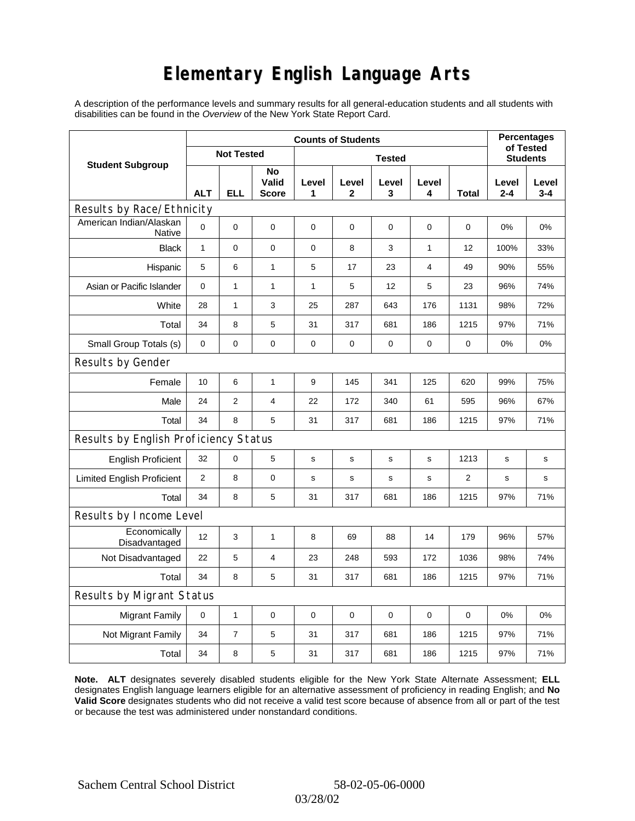# **Elementary English Language Arts**

A description of the performance levels and summary results for all general-education students and all students with disabilities can be found in the *Overview* of the New York State Report Card.

|                                       | <b>Counts of Students</b> |                   |                      |             |              |             |                 |       |              | <b>Percentages</b><br>of Tested |  |
|---------------------------------------|---------------------------|-------------------|----------------------|-------------|--------------|-------------|-----------------|-------|--------------|---------------------------------|--|
| <b>Student Subgroup</b>               |                           | <b>Not Tested</b> |                      |             |              |             | <b>Students</b> |       |              |                                 |  |
|                                       | <b>ALT</b>                | ELL               | No<br>Valid<br>Score | Level<br>1  | Level<br>2   | Level<br>3  | Level<br>4      | Total | Level<br>2-4 | Level<br>$3 - 4$                |  |
| Results by Race/Ethnicity             |                           |                   |                      |             |              |             |                 |       |              |                                 |  |
| American Indian/Alaskan<br>Native     | $\Omega$                  | $\mathbf 0$       | $\mathbf 0$          | 0           | $\mathbf 0$  | 0           | 0               | 0     | 0%           | 0%                              |  |
| <b>Black</b>                          | $\mathbf{1}$              | $\mathbf 0$       | $\mathbf 0$          | 0           | 8            | 3           | 1               | 12    | 100%         | 33%                             |  |
| Hispanic                              | 5                         | 6                 | $\mathbf{1}$         | 5           | 17           | 23          | 4               | 49    | 90%          | 55%                             |  |
| Asian or Pacific Islander             | 0                         | 1                 | $\mathbf{1}$         | 1           | 5            | 12          | 5               | 23    | 96%          | 74%                             |  |
| White                                 | 28                        | $\mathbf{1}$      | 3                    | 25          | 287          | 643         | 176             | 1131  | 98%          | 72%                             |  |
| Total                                 | 34                        | 8                 | 5                    | 31          | 317          | 681         | 186             | 1215  | 97%          | 71%                             |  |
| Small Group Totals (s)                | 0                         | 0                 | 0                    | 0           | $\pmb{0}$    | 0           | 0               | 0     | 0%           | 0%                              |  |
| Results by Gender                     |                           |                   |                      |             |              |             |                 |       |              |                                 |  |
| Female                                | 10                        | 6                 | $\mathbf{1}$         | 9           | 145          | 341         | 125             | 620   | 99%          | 75%                             |  |
| Male                                  | 24                        | $\overline{2}$    | $\overline{4}$       | 22          | 172          | 340         | 61              | 595   | 96%          | 67%                             |  |
| Total                                 | 34                        | 8                 | 5                    | 31          | 317          | 681         | 186             | 1215  | 97%          | 71%                             |  |
| Results by English Proficiency Status |                           |                   |                      |             |              |             |                 |       |              |                                 |  |
| <b>English Proficient</b>             | 32                        | 0                 | 5                    | $\mathbf s$ | S            | s           | s               | 1213  | s            | $\mathbf s$                     |  |
| <b>Limited English Proficient</b>     | $\overline{2}$            | 8                 | $\pmb{0}$            | s           | $\mathsf{s}$ | $\mathbf s$ | s               | 2     | $\mathbf s$  | s                               |  |
| Total                                 | 34                        | 8                 | 5                    | 31          | 317          | 681         | 186             | 1215  | 97%          | 71%                             |  |
| Results by Income Level               |                           |                   |                      |             |              |             |                 |       |              |                                 |  |
| Economically<br>Disadvantaged         | 12                        | 3                 | $\mathbf{1}$         | 8           | 69           | 88          | 14              | 179   | 96%          | 57%                             |  |
| Not Disadvantaged                     | 22                        | 5                 | $\overline{4}$       | 23          | 248          | 593         | 172             | 1036  | 98%          | 74%                             |  |
| Total                                 | 34                        | 8                 | 5                    | 31          | 317          | 681         | 186             | 1215  | 97%          | 71%                             |  |
| Results by Migrant Status             |                           |                   |                      |             |              |             |                 |       |              |                                 |  |
| <b>Migrant Family</b>                 | 0                         | 1                 | 0                    | $\mathbf 0$ | 0            | 0           | $\mathbf 0$     | 0     | 0%           | 0%                              |  |
| Not Migrant Family                    | 34                        | $\overline{7}$    | 5                    | 31          | 317          | 681         | 186             | 1215  | 97%          | 71%                             |  |
| Total                                 | 34                        | 8                 | $\mathbf 5$          | 31          | 317          | 681         | 186             | 1215  | 97%          | 71%                             |  |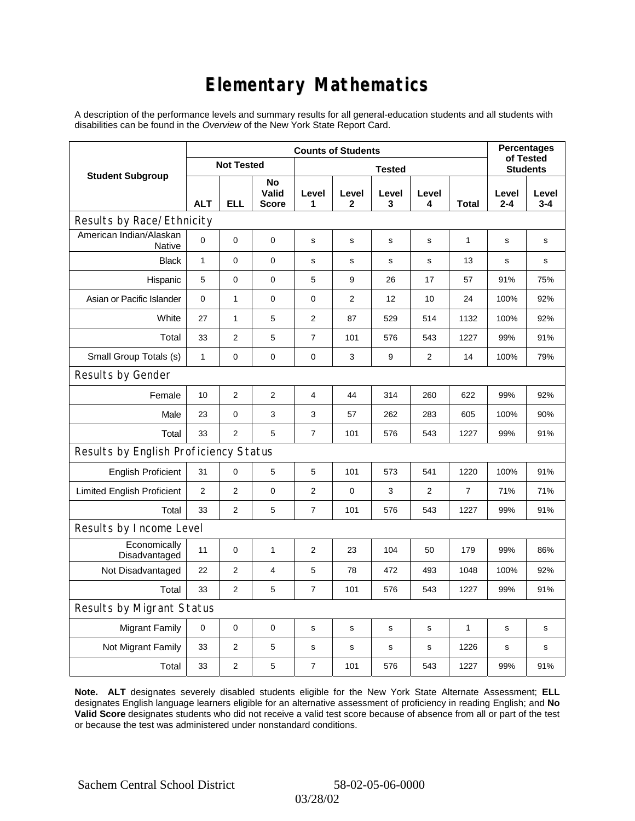# **Elementary Mathematics**

A description of the performance levels and summary results for all general-education students and all students with disabilities can be found in the *Overview* of the New York State Report Card.

|                                          | <b>Counts of Students</b> |                   |                             |                |                       |             |                |                 | <b>Percentages</b><br>of Tested |                  |  |
|------------------------------------------|---------------------------|-------------------|-----------------------------|----------------|-----------------------|-------------|----------------|-----------------|---------------------------------|------------------|--|
| <b>Student Subgroup</b>                  |                           | <b>Not Tested</b> |                             |                |                       |             |                | <b>Students</b> |                                 |                  |  |
|                                          | <b>ALT</b>                | <b>ELL</b>        | No<br>Valid<br><b>Score</b> | Level<br>1     | Level<br>$\mathbf{2}$ | Level<br>3  | Level<br>4     | <b>Total</b>    | Level<br>$2 - 4$                | Level<br>$3 - 4$ |  |
| Results by Race/Ethnicity                |                           |                   |                             |                |                       |             |                |                 |                                 |                  |  |
| American Indian/Alaskan<br><b>Native</b> | $\mathbf 0$               | 0                 | $\mathbf 0$                 | s              | s                     | s           | s              | 1               | s                               | s                |  |
| <b>Black</b>                             | $\mathbf{1}$              | 0                 | $\mathbf 0$                 | s              | s                     | s           | s              | 13              | s                               | s                |  |
| Hispanic                                 | 5                         | 0                 | $\pmb{0}$                   | 5              | 9                     | 26          | 17             | 57              | 91%                             | 75%              |  |
| Asian or Pacific Islander                | $\mathbf 0$               | 1                 | 0                           | 0              | $\overline{c}$        | 12          | 10             | 24              | 100%                            | 92%              |  |
| White                                    | 27                        | 1                 | 5                           | 2              | 87                    | 529         | 514            | 1132            | 100%                            | 92%              |  |
| Total                                    | 33                        | $\overline{2}$    | 5                           | $\overline{7}$ | 101                   | 576         | 543            | 1227            | 99%                             | 91%              |  |
| Small Group Totals (s)                   | $\mathbf{1}$              | 0                 | 0                           | 0              | 3                     | 9           | 2              | 14              | 100%                            | 79%              |  |
| Results by Gender                        |                           |                   |                             |                |                       |             |                |                 |                                 |                  |  |
| Female                                   | 10                        | $\overline{2}$    | $\overline{2}$              | 4              | 44                    | 314         | 260            | 622             | 99%                             | 92%              |  |
| Male                                     | 23                        | 0                 | 3                           | 3              | 57                    | 262         | 283            | 605             | 100%                            | 90%              |  |
| Total                                    | 33                        | $\overline{2}$    | 5                           | $\overline{7}$ | 101                   | 576         | 543            | 1227            | 99%                             | 91%              |  |
| Results by English Proficiency Status    |                           |                   |                             |                |                       |             |                |                 |                                 |                  |  |
| <b>English Proficient</b>                | 31                        | 0                 | 5                           | 5              | 101                   | 573         | 541            | 1220            | 100%                            | 91%              |  |
| <b>Limited English Proficient</b>        | $\overline{2}$            | $\overline{2}$    | $\mathbf 0$                 | $\overline{2}$ | $\mathbf 0$           | 3           | $\overline{2}$ | $\overline{7}$  | 71%                             | 71%              |  |
| Total                                    | 33                        | $\overline{2}$    | 5                           | $\overline{7}$ | 101                   | 576         | 543            | 1227            | 99%                             | 91%              |  |
| Results by Income Level                  |                           |                   |                             |                |                       |             |                |                 |                                 |                  |  |
| Economically<br>Disadvantaged            | 11                        | 0                 | $\mathbf{1}$                | $\overline{2}$ | 23                    | 104         | 50             | 179             | 99%                             | 86%              |  |
| Not Disadvantaged                        | 22                        | 2                 | 4                           | 5              | 78                    | 472         | 493            | 1048            | 100%                            | 92%              |  |
| Total                                    | 33                        | $\overline{2}$    | 5                           | $\overline{7}$ | 101                   | 576         | 543            | 1227            | 99%                             | 91%              |  |
| <b>Results by Migrant Status</b>         |                           |                   |                             |                |                       |             |                |                 |                                 |                  |  |
| <b>Migrant Family</b>                    | 0                         | 0                 | 0                           | $\mathbf S$    | s                     | s           | s              | $\mathbf{1}$    | s                               | s                |  |
| Not Migrant Family                       | 33                        | $\overline{2}$    | 5                           | s              | $\mathbf s$           | $\mathbf s$ | $\mathbf s$    | 1226            | $\mathbf s$                     | s                |  |
| Total                                    | 33                        | $\overline{2}$    | 5                           | $\overline{7}$ | 101                   | 576         | 543            | 1227            | 99%                             | 91%              |  |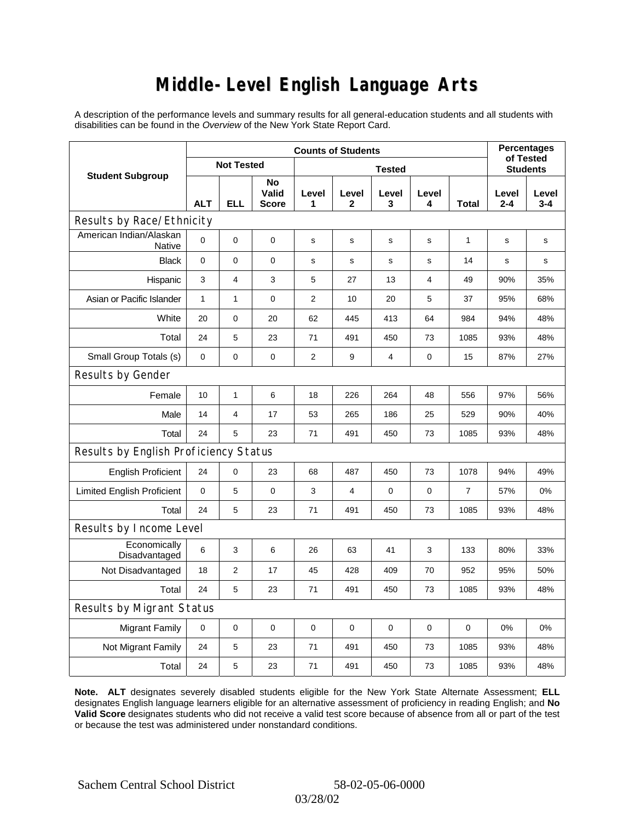### **Middle-Level English Language Arts**

A description of the performance levels and summary results for all general-education students and all students with disabilities can be found in the *Overview* of the New York State Report Card.

|                                       | <b>Counts of Students</b> |                   |                             |             |             |                 |                |                | <b>Percentages</b><br>of Tested |              |
|---------------------------------------|---------------------------|-------------------|-----------------------------|-------------|-------------|-----------------|----------------|----------------|---------------------------------|--------------|
| <b>Student Subgroup</b>               |                           | <b>Not Tested</b> |                             |             |             | <b>Students</b> |                |                |                                 |              |
|                                       | <b>ALT</b>                | <b>ELL</b>        | No<br>Valid<br><b>Score</b> | Level<br>1  | Level<br>2  | Level<br>3      | Level<br>4     | Total          | Level<br>$2 - 4$                | Level<br>3-4 |
| Results by Race/Ethnicity             |                           |                   |                             |             |             |                 |                |                |                                 |              |
| American Indian/Alaskan<br>Native     | $\mathbf 0$               | 0                 | $\pmb{0}$                   | s           | s           | s               | s              | 1              | s                               | s            |
| <b>Black</b>                          | 0                         | 0                 | $\pmb{0}$                   | $\mathbf s$ | $\mathbf s$ | s               | s              | 14             | S                               | s            |
| Hispanic                              | 3                         | 4                 | 3                           | 5           | 27          | 13              | $\overline{4}$ | 49             | 90%                             | 35%          |
| Asian or Pacific Islander             | $\mathbf{1}$              | $\mathbf{1}$      | $\pmb{0}$                   | 2           | 10          | 20              | 5              | 37             | 95%                             | 68%          |
| White                                 | 20                        | 0                 | 20                          | 62          | 445         | 413             | 64             | 984            | 94%                             | 48%          |
| Total                                 | 24                        | 5                 | 23                          | 71          | 491         | 450             | 73             | 1085           | 93%                             | 48%          |
| Small Group Totals (s)                | 0                         | 0                 | $\mathbf 0$                 | 2           | 9           | 4               | $\pmb{0}$      | 15             | 87%                             | 27%          |
| Results by Gender                     |                           |                   |                             |             |             |                 |                |                |                                 |              |
| Female                                | 10                        | $\mathbf{1}$      | 6                           | 18          | 226         | 264             | 48             | 556            | 97%                             | 56%          |
| Male                                  | 14                        | 4                 | 17                          | 53          | 265         | 186             | 25             | 529            | 90%                             | 40%          |
| Total                                 | 24                        | 5                 | 23                          | 71          | 491         | 450             | 73             | 1085           | 93%                             | 48%          |
| Results by English Proficiency Status |                           |                   |                             |             |             |                 |                |                |                                 |              |
| <b>English Proficient</b>             | 24                        | 0                 | 23                          | 68          | 487         | 450             | 73             | 1078           | 94%                             | 49%          |
| <b>Limited English Proficient</b>     | 0                         | 5                 | $\pmb{0}$                   | 3           | 4           | 0               | 0              | $\overline{7}$ | 57%                             | 0%           |
| Total                                 | 24                        | 5                 | 23                          | 71          | 491         | 450             | 73             | 1085           | 93%                             | 48%          |
| Results by Income Level               |                           |                   |                             |             |             |                 |                |                |                                 |              |
| Economically<br>Disadvantaged         | $\,6$                     | 3                 | 6                           | 26          | 63          | 41              | 3              | 133            | 80%                             | 33%          |
| Not Disadvantaged                     | 18                        | $\overline{2}$    | 17                          | 45          | 428         | 409             | 70             | 952            | 95%                             | 50%          |
| Total                                 | 24                        | 5                 | 23                          | 71          | 491         | 450             | 73             | 1085           | 93%                             | 48%          |
| Results by Migrant Status             |                           |                   |                             |             |             |                 |                |                |                                 |              |
| <b>Migrant Family</b>                 | $\pmb{0}$                 | 0                 | $\mathbf 0$                 | $\mathbf 0$ | $\mathbf 0$ | $\mathbf 0$     | $\mathbf 0$    | $\mathbf 0$    | 0%                              | 0%           |
| Not Migrant Family                    | 24                        | 5                 | 23                          | 71          | 491         | 450             | 73             | 1085           | 93%                             | 48%          |
| Total                                 | 24                        | 5                 | 23                          | 71          | 491         | 450             | 73             | 1085           | 93%                             | 48%          |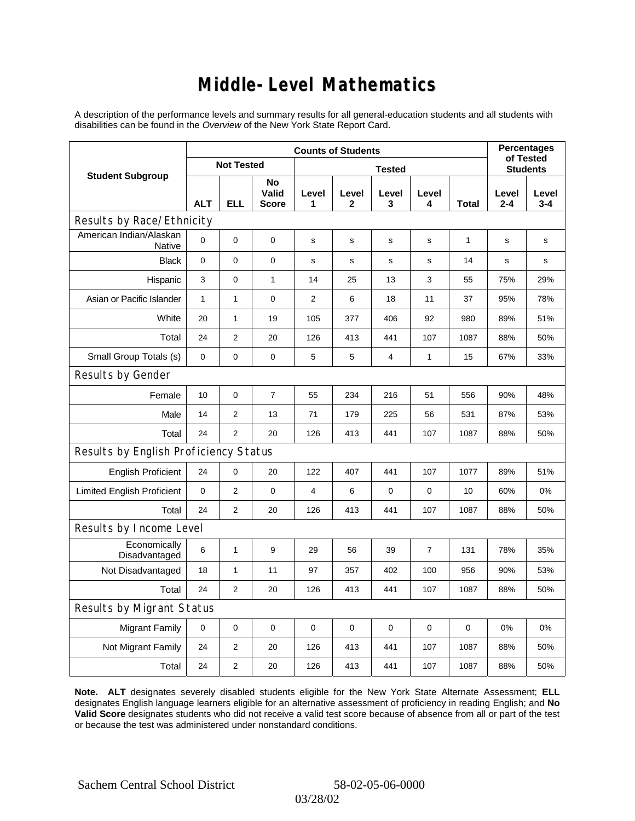### **Middle-Level Mathematics**

A description of the performance levels and summary results for all general-education students and all students with disabilities can be found in the *Overview* of the New York State Report Card.

|                                       | <b>Counts of Students</b> |                   |                             |            |                       |                 |             |              | <b>Percentages</b><br>of Tested |                  |
|---------------------------------------|---------------------------|-------------------|-----------------------------|------------|-----------------------|-----------------|-------------|--------------|---------------------------------|------------------|
| <b>Student Subgroup</b>               |                           | <b>Not Tested</b> |                             |            |                       | <b>Students</b> |             |              |                                 |                  |
|                                       | <b>ALT</b>                | <b>ELL</b>        | No<br>Valid<br><b>Score</b> | Level<br>1 | Level<br>$\mathbf{2}$ | Level<br>3      | Level<br>4  | <b>Total</b> | Level<br>$2 - 4$                | Level<br>$3 - 4$ |
| Results by Race/Ethnicity             |                           |                   |                             |            |                       |                 |             |              |                                 |                  |
| American Indian/Alaskan<br>Native     | $\mathbf 0$               | 0                 | $\mathbf 0$                 | s          | s                     | s               | s           | 1            | s                               | s                |
| <b>Black</b>                          | 0                         | 0                 | 0                           | s          | s                     | s               | $\mathbf s$ | 14           | $\mathbf s$                     | s                |
| Hispanic                              | 3                         | 0                 | $\mathbf{1}$                | 14         | 25                    | 13              | 3           | 55           | 75%                             | 29%              |
| Asian or Pacific Islander             | $\mathbf{1}$              | 1                 | $\mathbf 0$                 | 2          | 6                     | 18              | 11          | 37           | 95%                             | 78%              |
| White                                 | 20                        | $\mathbf{1}$      | 19                          | 105        | 377                   | 406             | 92          | 980          | 89%                             | 51%              |
| Total                                 | 24                        | 2                 | 20                          | 126        | 413                   | 441             | 107         | 1087         | 88%                             | 50%              |
| Small Group Totals (s)                | $\mathbf 0$               | 0                 | $\mathbf 0$                 | 5          | 5                     | 4               | 1           | 15           | 67%                             | 33%              |
| Results by Gender                     |                           |                   |                             |            |                       |                 |             |              |                                 |                  |
| Female                                | 10                        | 0                 | $\overline{7}$              | 55         | 234                   | 216             | 51          | 556          | 90%                             | 48%              |
| Male                                  | 14                        | 2                 | 13                          | 71         | 179                   | 225             | 56          | 531          | 87%                             | 53%              |
| Total                                 | 24                        | $\overline{2}$    | 20                          | 126        | 413                   | 441             | 107         | 1087         | 88%                             | 50%              |
| Results by English Proficiency Status |                           |                   |                             |            |                       |                 |             |              |                                 |                  |
| <b>English Proficient</b>             | 24                        | 0                 | 20                          | 122        | 407                   | 441             | 107         | 1077         | 89%                             | 51%              |
| <b>Limited English Proficient</b>     | $\mathbf 0$               | $\overline{2}$    | 0                           | 4          | 6                     | $\mathbf 0$     | $\mathbf 0$ | 10           | 60%                             | 0%               |
| Total                                 | 24                        | $\overline{2}$    | 20                          | 126        | 413                   | 441             | 107         | 1087         | 88%                             | 50%              |
| Results by Income Level               |                           |                   |                             |            |                       |                 |             |              |                                 |                  |
| Economically<br>Disadvantaged         | $\,6$                     | 1                 | 9                           | 29         | 56                    | 39              | 7           | 131          | 78%                             | 35%              |
| Not Disadvantaged                     | 18                        | 1                 | 11                          | 97         | 357                   | 402             | 100         | 956          | 90%                             | 53%              |
| Total                                 | 24                        | 2                 | 20                          | 126        | 413                   | 441             | 107         | 1087         | 88%                             | 50%              |
| Results by Migrant Status             |                           |                   |                             |            |                       |                 |             |              |                                 |                  |
| <b>Migrant Family</b>                 | $\mathbf 0$               | 0                 | 0                           | $\pmb{0}$  | $\mathbf 0$           | 0               | 0           | $\mathbf 0$  | 0%                              | 0%               |
| Not Migrant Family                    | 24                        | 2                 | 20                          | 126        | 413                   | 441             | 107         | 1087         | 88%                             | 50%              |
| Total                                 | 24                        | 2                 | 20                          | 126        | 413                   | 441             | 107         | 1087         | 88%                             | 50%              |